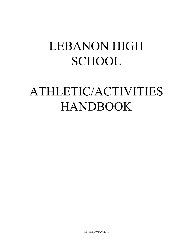## LEBANON HIGH **SCHOOL**

# ATHLETIC/ACTIVITIES HANDBOOK

REVISED 01/26/2017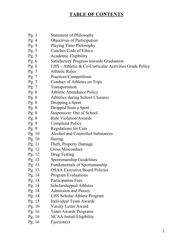## **TABLE OF CONTENTS**

- Pg. 3 Statement of Philosophy
- Pg. 4 Objectives of Participation
- Pg. 4 Playing Time Philosophy
- Pg. 5 Coaches Code of Ethics
- Pg. 5 Academic Eligibility
- Pg. 6 Satisfactory Progress towards Graduation
- Pg. 6 LHS Athletic & Co-Curricular Activities Grade Policy
- Pg. 7 Athletic Rules
- Pg. 7 Practices/Competitions
- Pg. 7 Conduct of Athletes on Trips
- Pg. 7 Transportation
- Pg. 8 Athletic Attendance Policy
- Pg. 8 Athletics during School Closures
- Pg. 8 Dropping a Sport
- Pg. 8 Dropped from a Sport
- Pg. 8 Suspension: Out of School
- Pg. 8 Rule Violation/Awards
- Pg. 9 Complaint Policy
- Pg. 9 Regulations for Cuts
- Pg. 10 Alcohol and Controlled Substances
- Pg. 10 Hazing
- Pg. 11 Theft, Property Damage
- Pg. 12 Gross Misconduct
- Pg. 12 Drug Testing
- Pg. 12 Sportsmanship Guidelines
- Pg. 13 Fundamentals of Sportsmanship
- Pg. 13 OSAA Executive Board Policies
- Pg. 14 Program Evaluations
- Pg. 14 Participation Fees
- Pg. 14 Scholarshipped Athletes
- Pg. 14 Admission and Passes
- Pg. 14 LHS Scholar Athlete Program
- Pg. 15 Individual Team Awards
- Pg. 16 Varsity Letter Award
- Pg. 16 Team Awards Programs
- Pg. 16 NCAA Initial-Eligibility
- Pg. 16 Ejection(s)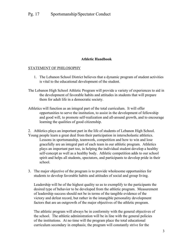### **Athletic Handbook**

#### STATEMENT OF PHILOSOPHY

- 1. The Lebanon School District believes that a dynamic program of student activities is vital to the educational development of the student.
- The Lebanon High School Athletic Program will provide a variety of experiences to aid in the development of favorable habits and attitudes in students that will prepare them for adult life in a democratic society.
- Athletics will function as an integral part of the total curriculum. It will offer opportunities to serve the institution, to assist in the development of fellowship and good will, to promote self-realization and all-around growth, and to encourage learning the qualities of good citizenship.
- 2. Athletics plays an important part in the life of students of Lebanon High School. Young people learn a great deal from their participation in interscholastic athletics. Lessons in sportsmanship, teamwork, competition and how to win and lose gracefully are an integral part of each team in our athletic program. Athletics plays an important part too, in helping the individual student develop a healthy self-concept as well as a healthy body. Athletic competition adds to our school spirit and helps all students, spectators, and participants to develop pride in their school.
- 3. The major objective of the program is to provide wholesome opportunities for students to develop favorable habits and attitudes of social and group living.

Leadership will be of the highest quality so as to exemplify to the participants the desired type of behavior to be developed from the athletic program. Measurement of leadership success should not be in terms of the tangible evidence of the victory and defeat record, but rather in the intangible personality development factors that are an outgrowth of the major objectives of the athletic program.

The athletic program will always be in conformity with the general objectives of the school. The athletic administration will be in line with the general policies of the institutions. At no time will the program place the total educational curriculum secondary in emphasis; the program will constantly strive for the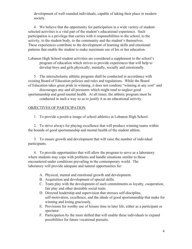development of well rounded individuals, capable of taking their place in modern society.

4. We believe that the opportunity for participation in a wide variety of studentselected activities is a vital part of the student's educational experience. Such participation is a privilege that carries with it responsibilities to the school, to the activity, to the student body, to the community and the student's themselves. These experiences contribute to the development of learning skills and emotional patterns that enable the student to make maximum use of his or her education.

Lebanon High School student activities are considered a supplement to the school's program of education which strives to provide experiences that will help to develop boys and girls physically, mentally, socially and emotionally.

5. The interscholastic athletic program shall be conducted in accordance with existing Board of Education policies and rules and regulations. While the Board of Education takes great pride in winning, it does not condone "winning at any cost" and discourages any and all pressures which might tend to neglect good sportsmanship and good mental health. At all times, the athletic program must be conducted in such a way so as to justify it as an educational activity.

#### OBJECTIVES OF PARTICIPATION

1. To provide a positive image of school athletics at Lebanon High School.

2. To strive always for playing excellence that will produce winning teams within the bounds of good sportsmanship and mental health of the student athlete.

3. To ensure growth and development that will raise the number of individual participants.

4. To provide opportunities that will allow the program to serve as a laboratory where students may cope with problems and handle situations similar to those encountered under conditions prevailing in the contemporary world. The laboratory will provide adequate and natural opportunities for:

- A. Physical, mental and emotional growth and development.
- B. Acquisition and development of special skills.
- C. Team play with the development of such commitments as loyalty, cooperation, fair play and other desirable social traits.
- D. Directed leadership and supervision that stresses self-discipline, self-motivation, excellence, and the ideals of good sportsmanship that make for winning and losing graciously.
- E. Provisions for worthy use of leisure time in later life, either as a participant or spectator.
- F. Participation by the most skilled that will enable these individuals to expand possibilities for future vocational pursuits.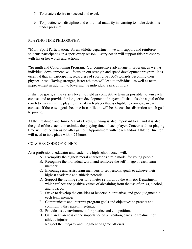- 5. To create a desire to succeed and excel.
- 6. To practice self-discipline and emotional maturity in learning to make decisions under pressure.

## PLAYING TIME PHILOSOPHY:

\*Multi-Sport Participation: As an athletic department, we will support and reinforce students participating in a sport every season. Every coach will support this philosophy with his or her words and actions.

\*Strength and Conditioning Program: Our competitive advantage in program, as well as individual development, will focus on our strength and speed development program. It is essential that all participants, regardless of sport give 100% towards becoming their physical best. Having stronger, faster athletes will lead to individual, as well as team, improvement in addition to lowering the individual's risk of injury.

It shall be goals, at the varsity level, to field as competitive team as possible, to win each contest, and to provide for long term development of players. It shall also be a goal of the coach to maximize the playing time of each player that is eligible to compete, in each contest. If these two goals become in-conflict, it will be the coaches discretion which goal to pursue.

At the Freshmen and Junior Varsity levels, winning is also important to all and it is also the goal of the coach to maximize the playing time of each player. Concerns about playing time will not be discussed after games. Appointment with coach and/or Athletic Director will need to take place within 72 hours.

## COACHES CODE OF ETHICS

As a professional educator and leader, the high school coach will:

- A. Exemplify the highest moral character as a role model for young people.
- B. Recognize the individual worth and reinforce the self-image of each team member.
- C. Encourage and assist team members to set personal goals to achieve their highest academic and athletic potential.
- D. Support the training rules for athletes set forth by the Athletic Department, which reflects the positive values of abstaining from the use of drugs, alcohol, and tobacco.
- E. Strive to develop the qualities of leadership, initiative, and good judgment in each team member.
- F. Communicate and interpret program goals and objectives to parents and community thru parent meetings.
- G. Provide a safe environment for practice and competition.
- H. Gain an awareness of the importance of prevention, care and treatment of athletic injuries.
- I. Respect the integrity and judgment of game officials.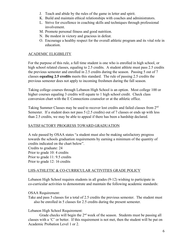- J. Teach and abide by the rules of the game in letter and spirit.
- K. Build and maintain ethical relationships with coaches and administrators.
- L. Strive for excellence in coaching skills and techniques through professional involvement.
- M. Promote personal fitness and good nutrition.
- N. Be modest in victory and gracious in defeat.
- O. Encourage a healthy respect for the overall athletic program and its vital role in education.

## ACADEMIC ELIGIBILITY

For the purpose of this rule, a full time student is one who is enrolled in high school, or high school related classes, equaling to 2.5 credits. A student athlete must pass 2.5 credits the previous semester and enrolled in 2.5 credits during the season. Passing 5 out of 7 classes **equaling 2.5 credits** meets this standard. The rule of passing 2.5 credits the previous semester does not apply to incoming freshmen during the fall season.

Taking college courses through Lebanon High School is an option. Most college 100 or higher courses equaling 3 credits will equate to 1 high school credit. Check class conversion chart with the E Connections counselor or at the athletic office.

Taking Summer Classes may be used to recover lost credits and failed classes from 2<sup>nd</sup> Semester. If a student does not pass 5 (2.5 credits) out of 7 classes or ends up with less than 2.5 credits, we may be able to appeal if there has been a hardship declared.

## SATISFACTORY PROGRESS TOWARD GRADUATION

A rule passed by OSAA states "a student must also be making satisfactory progress towards the schools graduation requirements by earning a minimum of the quantity of credits indicated on the chart below".

Credits to graduate: 24 Prior to grade 10: 4 credits Prior to grade 11: 9.5 credits Prior to grade 12: 16 credits

## LHS-ATHLETIC & CO-CURRICULAR ACTIVITIES GRADE POLICY

Lebanon High School requires students in all grades (9-12) wishing to participate in co-curricular activities to demonstrate and maintain the following academic standards:

OSAA Requirement:

Take and pass 5 classes for a total of 2.5 credits the previous semester. The student must also be enrolled in 5 classes for 2.5 credits during the present semester.

Lebanon High School Requirement:

Grade checks will begin the  $2<sup>nd</sup>$  week of the season. Students must be passing all classes with a 'C' or better. If this requirement is not met, then the student will be put on Academic Probation Level 1 or 2.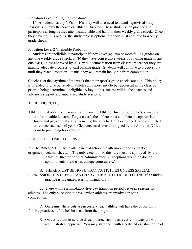Probation Level 1 'Eligible Probation'

 If the student has any 'D's or 'F's, they will also need to attend supervised study sessions set up by the coach or Athletic Director. These students can practice and participate as long as they attend study table and hand in their weekly grade check. Once they have no 'D's or 'F's, the study table is optional but they must continue to weekly grade check.

Probation Level 2 'Ineligible Probation'

 Students are ineligible to participate if they have: (a) Two or more failing grades on any one weekly grade check, or (b) they have consecutive weeks of a failing grade in any one class, unless approved by A.D. with documentation from classroom teacher they are making adequate progress toward passing grade. Students will continue to practice, but until they reach Probation 1 status, they will remain ineligible from competition.

Coaches set the day/time of the week that their sport's grade checks are due. This policy is intended to give our student athletes an opportunity to be successful in the classroom prior to being determined ineligible. A key to this success will be the coaches and advisor's support and supervised study sessions.

#### ATHLETIC RULES

Athletes must obtain a clearance card from the Athletic Director before he/she may turn out for an athletic team. To get a card, the athlete must complete the appropriate forms and pay (or make arrangements) the athletic fee. Forms need to be completed only once each school year. Clearance cards must be signed by the Athletics Office prior to practicing for each sport.

#### PRACTICES/COMPETITIONS

A. The athlete MUST be in attendance at school the afternoon prior to practice or game (meet, match, etc.). The only exception to this rule must be approved by the Athletic Director or other Administrator. (Exceptions would be doctor appointments, field trips, college courses, etc.)

B. THERE MUST BE NO SUNDAY ACTIVITIES UNLESS SPECIAL PERMISSION HAS BEEN GRANTED BY THE ATHLETIC DIRECTOR. If a Sunday practice is organized, it is not mandatory.

C. There will be a mandatory five day transition period between seasons for athletes. The only exception to this is when athletes are involved in state competition.

D. On teams where cuts are necessary, each athlete will have the opportunity for five practices before he/she is cut from the program.

E. On curriculum in-service days, practice cannot start early for teachers without administrative approval. You may start early with a certified assistant or head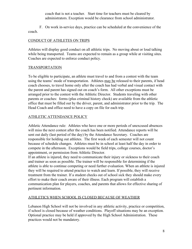coach that is not a teacher. Start time for teachers must be cleared by administrators. Exception would be clearance from school administrator.

F. On work in-service days, practice can be scheduled at the convenience of the coach.

## CONDUCT OF ATHLETES ON TRIPS

Athletes will display good conduct on all athletic trips. No moving about or loud talking while being transported. Teams are expected to remain as a group while at visiting sites. Coaches are expected to enforce conduct policy.

## TRANSPORTATION

To be eligible to participate, an athlete must travel to and from a contest with the team using the teams' mode of transportation. Athletes may be released to their parents, if head coach chooses, to travel home only after the coach has had verbal and visual contact with the parent and parent has signed out on coach's form. All other exceptions must be arranged prior to the contest with the Athletic Director. Students traveling with other parents or coaches: forms (plus criminal history check) are available from the athletic office that must be filled out by the driver, parent, and administrator prior to the trip. The Head Coach and office need to have a copy on file for each trip.

## ATHLETIC ATTENDANCE POLICY

Athletic Attendance rule: Athletes who have one or more periods of unexcused absences will miss the next contest after the coach has been notified. Attendance reports will be sent out daily (last period of the day) by the Attendance Secretary. Coaches are responsible for holding out athletes. The first week of each semester will not count because of schedule changes. Athletes must be in school at least half the day in order to compete in the afternoon. Exceptions would be field trips, college courses, doctor's appointment, or permission from Athletic Director.

If an athlete is injured, they need to communicate their injury or sickness to their coach and trainer as soon as possible. The trainer will be responsible for determining if the athlete is able to continue competing or need further evaluation. When an athlete is injured they will be required to attend practice to watch and learn. If possible, they will receive treatment from the trainer. If a student checks out of school sick they should make every effort to make their coach aware of their illness. Each program will establish a communication plan for players, coaches, and parents that allows for effective sharing of pertinent information.

## ATHLETICS WHEN SCHOOL IS CLOSED BECAUSE OF WEATHER

Lebanon High School will not be involved in any athletic activity, practice or competition, if school is closed because of weather conditions. Playoff situations may be an exception. Optional practice may be held if approved by the High School Administration. These practices would not be mandatory.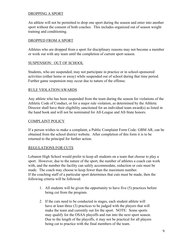### DROPPING A SPORT

An athlete will not be permitted to drop one sport during the season and enter into another sport without the consent of both coaches. This includes organized out of season weight training and conditioning.

#### DROPPED FROM A SPORT

Athletes who are dropped from a sport for disciplinary reasons may not become a member or work out with any team until the completion of current sport season.

#### SUSPENSION: OUT OF SCHOOL

Students, who are suspended, may not participate in practice or in school-sponsored activities (either home or away) while suspended out of school during that time period. Further game suspension may occur due to nature of the offense.

#### RULE VIOLATION/AWARDS

Any athlete who has been suspended from the team during the season for violations of the Athletic Code of Conduct, or for a major rule violation, as determined by the Athletic Director shall have their eligibility sanctioned for an individual team award(s) as listed in the hand book and will not be nominated for All-League and All-State honors.

#### COMPLAINT POLICY

If a person wishes to make a complaint, a Public Complaint Form Code: GBM AR, can be obtained from the school district website. After completion of this form it is to be returned to the principal for further action.

#### REGULATIONS FOR CUTS

Lebanon High School would prefer to keep all students on a team that choose to play a sport. However, due to the nature of the sport, the number of athletes a coach can work with, and the number the facility can safely accommodate, reduction or cuts must be made. The coach may choose to keep fewer than the maximum number. If the coaching staff of a particular sport determines that cuts must be made, then the following criteria will be followed:

- 1. All students will be given the opportunity to have five (5) practices before being cut from the program.
- 2. If the cuts need to be conducted in stages, each student athlete will have at least three (3) practices to be judged with the players that will make the team and currently out for the sport. NOTE: Some sports may qualify for the OSAA playoffs and run into the next sport season. Due to the length of the playoffs, it may not be practical for all players being cut to practice with the final members of the team.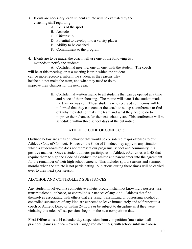- 3 If cuts are necessary, each student athlete will be evaluated by the coaching staff regarding:
	- A. Skills of the sport
	- B. Attitude
	- C. Citizenship
	- D. Potential to develop into a varsity player
	- E. Ability to be coached
	- F. Commitment to the program
- 4. If cuts are to be made, the coach will use one of the following two methods to notify the student:

A. Confidential meeting, one on one, with the student. The coach will be at this meeting, or at a meeting later in which the student can be more receptive, inform the student as the reasons why he/she did not make the team, and what they need to do to improve their chances for the next year.

> B. Confidential written memo to all students that can be opened at a time and place of their choosing. The memo will state if the student made the team or was cut. Those students who received cut memos will be informed that they can contact the coach to set up a conference to find out why they did not make the team and what they need to do to improve their chances for the next school year. This conference will be scheduled within three school days of the cut notice.

## ATHLETIC CODE OF CONDUCT:

Outlined below are areas of behavior that would be considered major offenses to our Athletic Code of Conduct. However, the Code of Conduct may apply to any situation in which a student-athlete does not represent our programs, school and community in a positive manner. Once a student-athletes participates in Athletics/Activities at LHS that require them to sign the Code of Conduct; the athlete and parent enter into the agreement for the remainder of their high school careers. This includes sports seasons and summer months when the athlete is not participating. Violations during these times will be carried over to their next sport season.

#### ALCOHOL AND CONTROLLED SUBSTANCES

Any student involved in a competitive athletic program shall not knowingly possess, use, transmit alcohol, tobacco, or controlled substances of any kind. Athletes that find themselves associating with others that are using, transmitting or possessing alcohol or controlled substances of any kind are expected to leave immediately and self report to a coach or Athletic Director within 24 hours or be subject to discipline as if they were violating this rule. All suspensions begin on the next competition date.

**First Offense:** is a 14 calendar day suspension from competition (must attend all practices, games and team events); suggested meeting(s) with school substance abuse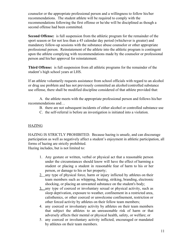counselor or the appropriate professional person and a willingness to follow his/her recommendations. The student athlete will be required to comply with the recommendations following the first offense or he/she will be disciplined as though a second offense had been committed.

**Second Offense:** is full suspension from the athletic program for the remainder of the sport season or for not less than a 45 calendar day period (whichever is greater) and mandatory follow-up sessions with the substance abuse counselor or other appropriate professional person. Reinstatement of the athlete into the athletic program is contingent upon the athlete complying with recommendations made by the counselor or professional person and his/her approval for reinstatement.

**Third Offense:** is full suspension from all athletic programs for the remainder of the student's high school years at LHS.

If an athlete voluntarily requests assistance from school officials with regard to an alcohol or drug use problem and has not previously committed an alcohol/controlled substance use offense, there shall be modified discipline considered of that athlete provided that:

A. the athlete meets with the appropriate professional person and follows his/her recommendations and…

- B. there are not subsequent incidents of either alcohol or controlled substance use
- C. the self-referral is before an investigation is initiated into a violation.

## **HAZING**

HAZING IS STRICTLY PROHIBITED. Because hazing is unsafe, and can discourage participation as well as negatively affect a student's enjoyment in athletic participation, all forms of hazing are strictly prohibited.

Hazing includes, but is not limited to:

- 1. Any gesture or written, verbal or physical act that a reasonable person under the circumstances should know will have the effect of harming a student or placing a student in reasonable fear of harm to his or her person, or damage to his or her property;
- 2. any type of physical force, harm or injury inflicted by athletes on their team members such as whipping, beating, striking, branding, electronic shocking, or placing an unwanted substance on the student's body;
- 3. any type of coerced or involuntary sexual or physical activity, such as sleep deprivation, exposure to weather, confinement in a restricted area, calisthenics, or other coerced or unwelcome confinement, restriction or other forced activity by athletes on their fellow team members;
- 4. any coerced or involuntary activity by athletes on their team members that subject the athletes to an unreasonable risk of harm or that adversely affects their mental or physical health, safety, or welfare; or
- 5. any coerced or involuntary activity inflicted, encouraged or mandated by athletes on their team members.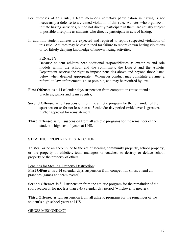- For purposes of this rule, a team member's voluntary participation in hazing is not necessarily a defense to a claimed violation of this rule. Athletes who organize or initiate hazing activities, but do not directly participate in them, are equally subject to possible discipline as students who directly participate in acts of hazing.
- In addition, student athletes are expected and required to report suspected violations of this rule. Athletes may be disciplined for failure to report known hazing violations or for falsely denying knowledge of known hazing activities.

#### PENALTY

Because student athletes bear additional responsibilities as examples and role models within the school and the community, the District and the Athletic Department reserve the right to impose penalties above and beyond those listed below when deemed appropriate. Whenever conduct may constitute a crime, a referral to law enforcement is also possible, and may be required by law.

- **First Offense:** is a 14 calendar days suspension from competition (must attend all practices, games and team events);
- **Second Offense:** is full suspension from the athletic program for the remainder of the sport season or for not less than a 45 calendar day period (whichever is greater). his/her approval for reinstatement.
- **Third Offense:** is full suspension from all athletic programs for the remainder of the student's high school years at LHS.

#### STEALING, PROPERTY DESTRUCTION

To steal or be an accomplice to the act of stealing community property, school property, or the property of athletics, team managers or coaches; to destroy or deface school property or the property of others.

Penalties for Stealing, Property Destruction:

First Offense: is a 14 calendar days suspension from competition (must attend all practices, games and team events).

**Second Offense:** is full suspension from the athletic program for the remainder of the sport season or for not less than a 45 calendar day period (whichever is greater).

**Third Offense:** is full suspension from all athletic programs for the remainder of the student's high school years at LHS.

#### GROSS MISCONDUCT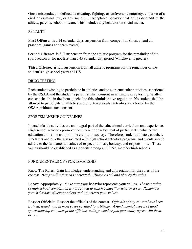Gross misconduct is defined as cheating, fighting, or unfavorable notoriety, violation of a civil or criminal law, or any socially unacceptable behavior that brings discredit to the athlete, parents, school or team. This includes any behavior on social media.

## **PENALTY**

**First Offense:** is a 14 calendar days suspension from competition (must attend all practices, games and team events).

**Second Offense:** is full suspension from the athletic program for the remainder of the sport season or for not less than a 45 calendar day period (whichever is greater).

**Third Offense:** is full suspension from all athletic programs for the remainder of the student's high school years at LHS.

### DRUG TESTING

Each student wishing to participate in athletics and/or extracurricular activities, sanctioned by the OSAA and the student's parent(s) shall consent in writing to drug testing. Written consent shall be in the form attached to this administrative regulation. No student shall be allowed to participate in athletics and/or extracurricular activities, sanctioned by the OSAA, without such consent.

### SPORTSMANSHIP GUIDELINES

Interscholastic activities are an integral part of the educational curriculum and experience. High school activities promote the character development of participants, enhance the educational mission and promote civility in society. Therefore, student-athletes, coaches, spectators and all others associated with high school activities programs and events should adhere to the fundamental values of respect, fairness, honesty, and responsibility. These values should be established as a priority among all OSAA member high schools.

#### FUNDAMENTALS OF SPORTSMANSHIP

Know The Rules: Gain knowledge, understanding and appreciation for the rules of the contest. *Being well informed is essential. Always coach and play by the rules*.

Behave Appropriately: Make sure your behavior represents your values. *The true value of high school competition is not related to which competitor wins or loses. Remember your behavior influences others and represents your values.*

Respect Officials: Respect the officials of the contest. *Officials of any contest have been trained, tested, and in most cases certified to arbitrate. A fundamental aspect of good sportsmanship is to accept the officials' rulings whether you personally agree with them or not.*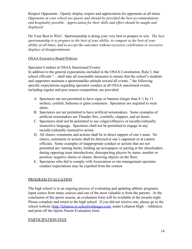Respect Opponents: Openly display respect and appreciation for opponents at all times. *Opponents at your school are guests and should be provided the best accommodations and hospitality possible. Appreciation for their skills and effort should be taught and displayed.*

Do Your Best to Win!: Sportsmanship is doing your very best to prepare to win. *The best sportsmanship is to prepare to the best of your ability, to compete to the best of your ability at all times, and to accept the outcomes without excessive celebration or excessive displays of disappointments.*

#### OSAA Executive Board Policies

Spectator Conduct at OSAA Sanctioned Events:

In addition to the general expectations included in the OSAA Constitution, Rule 3, that school officials "…shall take all reasonable measures to ensure that the school's students and supporters maintain a sportsmanlike attitude toward all events.." the following specific expectations regarding spectator conduct at all OSAA sanctioned events, including regular and post season competition, are provided:

- A. Spectators are not permitted to have signs or banners (larger than 8 ½ by 11 inches), confetti, balloons or glass containers. Spectators are required to wear shirts.
- B. Spectators are not permitted to have artificial noisemakers. Some examples of artificial noisemakers are Thunder Stix, cowbells, clappers, and air horns.
- C. Spectators shall not be permitted to use vulgar/offensive or racially/culturally insensitive language. Spectators shall not be permitted to engage in any racially/culturally insensitive action.
- D. All cheers, comments and actions shall be in direct support of one's team. No cheers, comments or actions shall be directed at one's opponent or at contest officials. Some examples of inappropriate conduct or actions that are not permitted are: turning backs, holding up newspapers or jeering at the cheerleaders during opposing team introductions; disrespecting players by name, number or position; negative cheers or chants; throwing objects on the floor.
- E. Spectators who fail to comply with Association or site management spectator conduct expectations may be expelled from the contest.

## PROGRAM EVALUATION

The high school is in an ongoing process of evaluating and updating athletic programs. Input comes from many sources and one of the most valuable is from the parents. At the conclusion of the sports season, an evaluation form will be available at the awards night. Please complete and return to the high school. If you did not receive one, please go to the school website ([http://lebanon.or.schoolwebpages.com,](http://lebanon.or.schoolwebpages.com/) under Lebanon High – Athletics) and print off the Sports Parent Evaluation form.

## PARTICIPATION FEES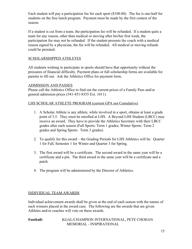Each student will pay a participation fee for each sport (\$100.00). The fee is one-half for students on the free lunch program. Payment must be made by the first contest of the season.

If a student is cut from a team, the participation fee will be refunded. If a student quits a team for any reason, other than medical or moving after his/her first week, the participation fee may not be refunded. If the student presents the coach with a medical reason signed by a physician, the fee will be refunded. All medical or moving refunds could be prorated.

## SCHOLARSHIPPED ATHLETES

All students wishing to participate in sports should have that opportunity without the pressures of financial difficulty. Payment plans or full scholarship forms are available for parents to fill out. Ask the Athletics Office for payment form.

#### ADMISSION AND PASSES

Please call the Athletics Office to find out the current prices of a Family Pass and/or general admission prices (541-451-8555 Ext. 1011).

#### LHS SCHOLAR ATHLETE PROGRAM (current GPA not Cumulative)

- 1. A Scholar Athlete is any athlete, while involved in a sport, obtains at least a grade point of 3.5. They must be enrolled at LHS. A Beyond LHS Student (LBCC) may receive an award. They have to provide the Athletics Secretary with their LBCC grades after each season (Fall Sports: Term 1 grades; Winter Sports: Term 2 grades and Spring Sports: Term 3 grades)
- 2. To qualify for this award the Grading Periods for LHS Athletics will be: Quarter 1 for Fall, Semester 1 for Winter and Quarter 3 for Spring.
- 3. The first award will be a certificate. The second award in the same year will be a certificate and a pin. The third award in the same year will be a certificate and a patch.
- 4. The program will be administered by the Director of Athletics.

#### INDIVIDUAL TEAM AWARDS

Individual achievement awards shall be given at the end of each season with the names of such winners placed in the award case. The following are the awards that are given: Athletes and/or coaches will vote on these awards.

**Football:** KGAL/CHAMPION INTERNATIONAL, PETE CHOHAN MEMORIAL - INSPIRATIONAL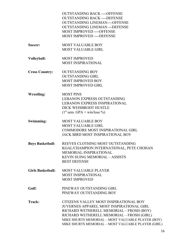|                          | <b>OUTSTANDING BACK ----OFFENSE</b><br><b>OUTSTANDING BACK ----DEFENSE</b><br><b>OUTSTANDING LINEMAN----OFFENSE</b><br><b>OUTSTANDING LINEMAN --- DEFENSE</b><br><b>MOST IMPROVED ----OFFENSE</b><br>MOST IMPROVED ---- DEFENSE                                                        |
|--------------------------|----------------------------------------------------------------------------------------------------------------------------------------------------------------------------------------------------------------------------------------------------------------------------------------|
| Soccer:                  | <b>MOST VALUABLE BOY</b><br><b>MOST VALUABLE GIRL</b>                                                                                                                                                                                                                                  |
| Volleyball:              | <b>MOST IMPROVED</b><br><b>MOST INSPIRATIONAL</b>                                                                                                                                                                                                                                      |
| <b>Cross Country:</b>    | <b>OUTSTANDING BOY</b><br><b>OUTSTANDING GIRL</b><br><b>MOST IMPROVED BOY</b><br><b>MOST IMPROVED GIRL</b>                                                                                                                                                                             |
| <b>Wrestling:</b>        | <b>MOST PINS</b><br><b>LEBANON EXPRESS OUTSTANDING</b><br><b>LEBANON EXPRESS INSPIRATIONAL</b><br>DICK WEISBRODT HUSTLE<br>$(1st sem. GPA + win/lose %)$                                                                                                                               |
| Swimming:                | <b>MOST VALUABLE BOY</b><br><b>MOST VALUABLE GIRL</b><br><b>COMMODORE MOST INSPIRATIONAL GIRL</b><br><b>JACK BIRD MOST INSPIRATIONAL BOY</b>                                                                                                                                           |
| <b>Boys Basketball:</b>  | REEVES CLOTHING MOST OUTSTANDING<br>KGAL/CHAMPION INTERNATIONAL, PETE CHOHAN<br>MEMORIAL-INSPIRATIONAL<br><b>KEVIN SUING MEMORIAL - ASSISTS</b><br><b>BEST DEFENSE</b>                                                                                                                 |
| <b>Girls Basketball:</b> | <b>MOST VALUABLE PLAYER</b><br><b>MOST INSPIRATIONAL</b><br><b>MOST IMPROVED</b>                                                                                                                                                                                                       |
| Golf:                    | PINEWAY OUTSTANDING GIRL<br>PINEWAY OUTSTANDING BOY                                                                                                                                                                                                                                    |
| Track:                   | CITIZENS VALLEY MOST INSPIRATIONAL BOY<br>JUVERNES APPAREL MOST INSPIRATIONAL GIRL<br>RICHARD WETHERELL MEMORIAL - FROSH (BOY)<br>RICHARD WETHERELL MEMORIAL - FROSH (GIRL)<br>MIKE SHURTS MEMORIAL - MOST VALUABLE PLAYER (BOY)<br>MIKE SHURTS MEMORIAL - MOST VALUABLE PLAYER (GIRL) |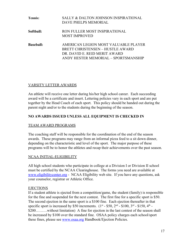| <b>Tennis:</b>   | SALLY & DALTON JOHNSON INSPIRATIONAL<br>DAVE PHELPS MEMORIAL                                                                                      |
|------------------|---------------------------------------------------------------------------------------------------------------------------------------------------|
| Softball:        | RON FULLER MOST INSPIRATIONAL<br><b>MOST IMPROVED</b>                                                                                             |
| <b>Baseball:</b> | AMERICAN LEGION MOST VALUABLE PLAYER<br>BRETT CHRISTENSEN – HUSTLE AWARD<br>DR. DAVID E. REID MERIT AWARD<br>ANDY HESTER MEMORIAL - SPORTSMANSHIP |

### VARSITY LETTER AWARDS

An athlete will receive one letter during his/her high school career. Each succeeding award will be a certificate and insert. Lettering policies vary in each sport and are put together by the Head Coach of each sport. This policy should be handed out during the parent night and/or to the students during the beginning of the season.

### **NO AWARDS ISSUED UNLESS ALL EQUIPMENT IS CHECKED IN**

#### TEAM AWARD PROGRAMS

The coaching staff will be responsible for the coordination of the end of the season awards. These programs may range from an informal pizza feed to a sit down dinner, depending on the characteristic and level of the sport. The major purpose of these programs will be to honor the athletes and recap their achievements over the past season.

#### NCAA INITIAL-ELIGIBILITY

All high school students who participate in college at a Division I or Division II school must be certified by the NCAA Clearinghouse. The forms you need are available at [www.eligibilitycenter.org](http://www.eligibilitycenter.org/) - NCAA Eligibility web site. If you have any questions, ask your counselor, registrar or Athletic Office.

#### EJECTIONS

If a student athlete is ejected from a competition/game, the student (family) is responsible for the fine and suspended for the next contest. The first fine for a specific sport is \$50. The second ejection in the same sport is a \$100 fine. Each ejection thereafter in that specific sport is increased by \$50 increments.  $(1^{st} - $50, 2^{nd} - $100, 3^{rd} - $150, 4^{th} -$ \$200………without limitation) A fine for ejection in the last contest of the season shall be increased by \$100 over the standard fine. OSAA policy charges each school/sport these fines, please see [www.osaa.org](http://www.osaa.org/) Handbook/Ejection Policies.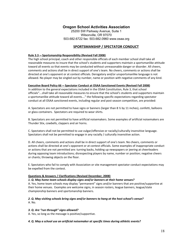#### **Oregon School Activities Association**

25200 SW Parkway Avenue, Suite 1 Wilsonville, OR 97070 503.682.6722 fax: 503.682.0960 www.osaa.org

#### **SPORTSMANSHIP / SPECTATOR CONDUCT**

#### **Rule 3.3 -- Sportsmanship Responsibility (Revised Fall 2008)**

The high school principal, coach and other responsible officials of each member school shall take all reasonable measures to insure that the school's students and supporters maintain a sportsmanlike attitude toward all events so that events may be conducted without unreasonable danger or disorder. All cheers, comments and actions shall be in direct support of one's team. No cheers, comments or actions shall be directed at one's opponent or at contest officials. Derogatory and/or unsportsmanlike language is not allowed. No player may be singled out by number, name or position with negative comments of any kind.

#### **Executive Board Policy 66 -- Spectator Conduct at OSAA Sanctioned Events (Revised Fall 2008)**

In addition to the general expectations included in the OSAA Constitution, Rule 3, that school officials"…shall take all reasonable measures to ensure that the school's students and supporters maintain a sportsmanlike attitude toward all events…" the following specific expectations regarding spectator conduct at all OSAA sanctioned events, including regular and post season competition, are provided:

A. Spectators are not permitted to have signs or banners (larger than 8  $\frac{1}{2}$  by 11 inches), confetti, balloons or glass containers. Spectators are required to wear shirts.

B. Spectators are not permitted to have artificial noisemakers. Some examples of artificial noisemakers are Thunder Stix, cowbells, clappers and air horns.

C. Spectators shall not be permitted to use vulgar/offensive or racially/culturally insensitive language. Spectators shall not be permitted to engage in any racially / culturally insensitive action.

D. All cheers, comments and actions shall be in direct support of one's team. No cheers, comments or actions shall be directed at one's opponent or at contest officials. Some examples of inappropriate conduct or actions that are not permitted are: turning backs, holding up newspapers or jeering at cheerleaders during opposing team introductions; disrespecting players by name, number or position; negative cheers or chants; throwing objects on the floor.

E. Spectators who fail to comply with Association or site management spectator conduct expectations may be expelled from the contest.

#### **Questions & Answers / Clarifications (Revised December, 2008)**

#### *1. Q. May home team schools display signs and/or banners at their home venues?*

A. Yes, home team schools may display "permanent" signs and/or banners that are positive/supportive at their home venues. Examples are welcome signs, in season rosters, league banners, league/state championship banners and sportsmanship banners.

#### *2. Q. May visiting schools bring signs and/or banners to hang at the host school's venue?* A. No.

#### *3. Q. Are "run through" signs allowed?*

A. Yes, so long as the message is positive/supportive.

#### *4. Q. May a school use an artificial noisemaker at specific times during athletic events?*